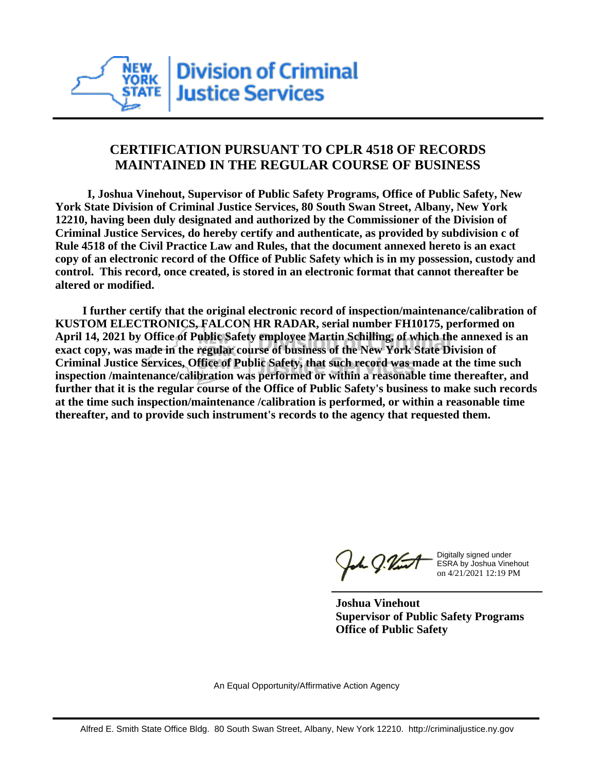

## **CERTIFICATION PURSUANT TO CPLR 4518 OF RECORDS MAINTAINED IN THE REGULAR COURSE OF BUSINESS**

 **I, Joshua Vinehout, Supervisor of Public Safety Programs, Office of Public Safety, New York State Division of Criminal Justice Services, 80 South Swan Street, Albany, New York 12210, having been duly designated and authorized by the Commissioner of the Division of Criminal Justice Services, do hereby certify and authenticate, as provided by subdivision c of Rule 4518 of the Civil Practice Law and Rules, that the document annexed hereto is an exact copy of an electronic record of the Office of Public Safety which is in my possession, custody and control. This record, once created, is stored in an electronic format that cannot thereafter be altered or modified.**

 **I further certify that the original electronic record of inspection/maintenance/calibration of KUSTOM ELECTRONICS, FALCON HR RADAR, serial number FH10175, performed on April 14, 2021 by Office of Public Safety employee Martin Schilling, of which the annexed is an exact copy, was made in the regular course of business of the New York State Division of Criminal Justice Services, Office of Public Safety, that such record was made at the time such inspection /maintenance/calibration was performed or within a reasonable time thereafter, and further that it is the regular course of the Office of Public Safety's business to make such records at the time such inspection/maintenance /calibration is performed, or within a reasonable time thereafter, and to provide such instrument's records to the agency that requested them.**

the g. Vint

Digitally signed under ESRA by Joshua Vinehout on 4/21/2021 12:19 PM

**Joshua Vinehout Supervisor of Public Safety Programs Office of Public Safety**

An Equal Opportunity/Affirmative Action Agency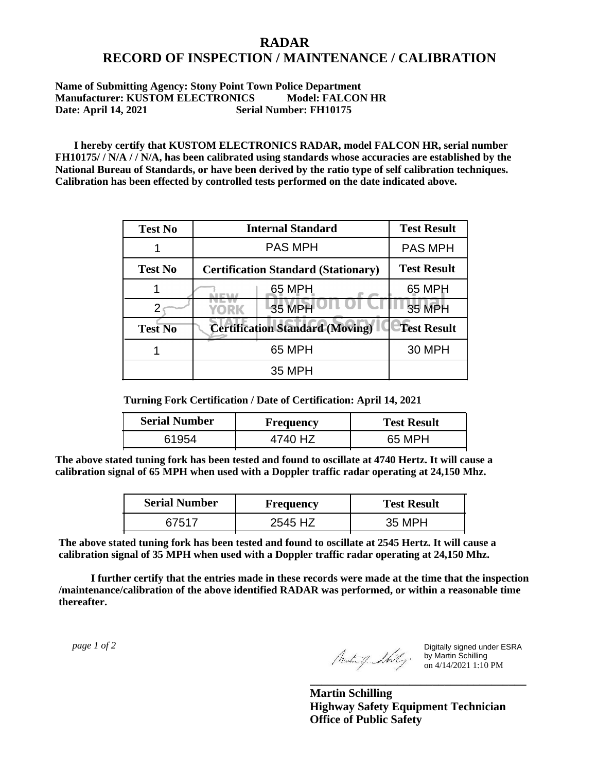## **RADAR RECORD OF INSPECTION / MAINTENANCE / CALIBRATION**

## **Name of Submitting Agency: Stony Point Town Police Department Manufacturer: KUSTOM ELECTRONICS Model: FALCON HR Date: April 14, 2021 Serial Number: FH10175**

 **I hereby certify that KUSTOM ELECTRONICS RADAR, model FALCON HR, serial number FH10175/ / N/A / / N/A, has been calibrated using standards whose accuracies are established by the National Bureau of Standards, or have been derived by the ratio type of self calibration techniques. Calibration has been effected by controlled tests performed on the date indicated above.**

| <b>Test No</b> | <b>Internal Standard</b>                   | <b>Test Result</b> |
|----------------|--------------------------------------------|--------------------|
|                | <b>PAS MPH</b>                             | <b>PAS MPH</b>     |
| <b>Test No</b> | <b>Certification Standard (Stationary)</b> | <b>Test Result</b> |
|                | 65 MPH                                     | 65 MPH             |
|                | 35 MPH<br>YORK                             | <b>35 MPH</b>      |
| <b>Test No</b> | <b>Certification Standard (Moving)</b>     | <b>Test Result</b> |
|                | 65 MPH                                     | <b>30 MPH</b>      |
|                | 35 MPH                                     |                    |

**Turning Fork Certification / Date of Certification: April 14, 2021**

| <b>Serial Number</b> | <b>Frequency</b> | <b>Test Result</b> |
|----------------------|------------------|--------------------|
| ร195⊿                |                  | 65 MPH             |

**The above stated tuning fork has been tested and found to oscillate at 4740 Hertz. It will cause a calibration signal of 65 MPH when used with a Doppler traffic radar operating at 24,150 Mhz.**

| <b>Serial Number</b> | Frequency | <b>Test Result</b> |
|----------------------|-----------|--------------------|
| 67517                | 2545 HZ   | 35 MPH             |

**The above stated tuning fork has been tested and found to oscillate at 2545 Hertz. It will cause a calibration signal of 35 MPH when used with a Doppler traffic radar operating at 24,150 Mhz.**

 **I further certify that the entries made in these records were made at the time that the inspection /maintenance/calibration of the above identified RADAR was performed, or within a reasonable time thereafter.**

 *page 1 of 2* 

Digitally signed under ESRA by Martin Schilling on 4/14/2021 1:10 PM

**Martin Schilling Highway Safety Equipment Technician Office of Public Safety**

**\_\_\_\_\_\_\_\_\_\_\_\_\_\_\_\_\_\_\_\_\_\_\_\_\_\_\_\_\_\_\_\_\_\_\_\_\_**